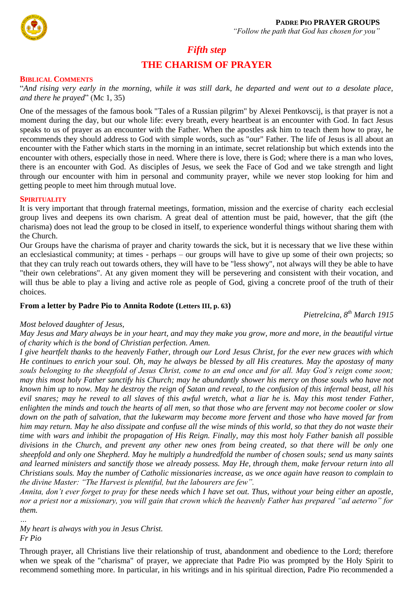

# *Fifth step* **THE CHARISM OF PRAYER**

#### **BIBLICAL COMMENTS**

"*And rising very early in the morning, while it was still dark, he departed and went out to a desolate place, and there he prayed*" (Mc 1, 35)

One of the messages of the famous book "Tales of a Russian pilgrim" by Alexei Pentkovscij, is that prayer is not a moment during the day, but our whole life: every breath, every heartbeat is an encounter with God. In fact Jesus speaks to us of prayer as an encounter with the Father. When the apostles ask him to teach them how to pray, he recommends they should address to God with simple words, such as "our" Father. The life of Jesus is all about an encounter with the Father which starts in the morning in an intimate, secret relationship but which extends into the encounter with others, especially those in need. Where there is love, there is God; where there is a man who loves, there is an encounter with God. As disciples of Jesus, we seek the Face of God and we take strength and light through our encounter with him in personal and community prayer, while we never stop looking for him and getting people to meet him through mutual love.

#### **SPIRITUALITY**

It is very important that through fraternal meetings, formation, mission and the exercise of charity each ecclesial group lives and deepens its own charism. A great deal of attention must be paid, however, that the gift (the charisma) does not lead the group to be closed in itself, to experience wonderful things without sharing them with the Church.

Our Groups have the charisma of prayer and charity towards the sick, but it is necessary that we live these within an ecclesiastical community; at times - perhaps – our groups will have to give up some of their own projects; so that they can truly reach out towards others, they will have to be "less showy", not always will they be able to have "their own celebrations". At any given moment they will be persevering and consistent with their vocation, and will thus be able to play a living and active role as people of God, giving a concrete proof of the truth of their choices.

## **From a letter by Padre Pio to Annita Rodote (Letters III, p. 63)**

*Pietrelcina, 8th March 1915*

## *Most beloved daughter of Jesus,*

*May Jesus and Mary always be in your heart, and may they make you grow, more and more, in the beautiful virtue of charity which is the bond of Christian perfection. Amen.*

*I give heartfelt thanks to the heavenly Father, through our Lord Jesus Christ, for the ever new graces with which He continues to enrich your soul. Oh, may he always be blessed by all His creatures. May the apostasy of many souls belonging to the sheepfold of Jesus Christ, come to an end once and for all. May God's reign come soon; may this most holy Father sanctify his Church; may he abundantly shower his mercy on those souls who have not known him up to now. May he destroy the reign of Satan and reveal, to the confusion of this infernal beast, all his evil snares; may he reveal to all slaves of this awful wretch, what a liar he is. May this most tender Father, enlighten the minds and touch the hearts of all men, so that those who are fervent may not become cooler or slow down on the path of salvation, that the lukewarm may become more fervent and those who have moved far from him may return. May he also dissipate and confuse all the wise minds of this world, so that they do not waste their time with wars and inhibit the propagation of His Reign. Finally, may this most holy Father banish all possible divisions in the Church, and prevent any other new ones from being created, so that there will be only one sheepfold and only one Shepherd. May he multiply a hundredfold the number of chosen souls; send us many saints and learned ministers and sanctify those we already possess. May He, through them, make fervour return into all Christians souls. May the number of Catholic missionaries increase, as we once again have reason to complain to the divine Master: "The Harvest is plentiful, but the labourers are few".*

*Annita, don't ever forget to pray for these needs which I have set out. Thus, without your being either an apostle, nor a priest nor a missionary, you will gain that crown which the heavenly Father has prepared "ad aeterno" for them. …*

*My heart is always with you in Jesus Christ. Fr Pio*

Through prayer, all Christians live their relationship of trust, abandonment and obedience to the Lord; therefore when we speak of the "charisma" of prayer, we appreciate that Padre Pio was prompted by the Holy Spirit to recommend something more. In particular, in his writings and in his spiritual direction, Padre Pio recommended a